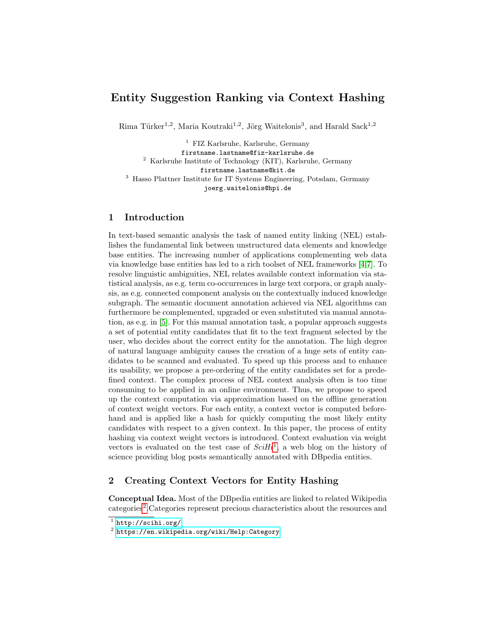# Entity Suggestion Ranking via Context Hashing

Rima Türker<sup>1,2</sup>, Maria Koutraki<sup>1,2</sup>, Jörg Waitelonis<sup>3</sup>, and Harald Sack<sup>1,2</sup>

<sup>1</sup> FIZ Karlsruhe, Karlsruhe, Germany firstname.lastname@fiz-karlsruhe.de <sup>2</sup> Karlsruhe Institute of Technology (KIT), Karlsruhe, Germany firstname.lastname@kit.de <sup>3</sup> Hasso Plattner Institute for IT Systems Engineering, Potsdam, Germany joerg.waitelonis@hpi.de

# 1 Introduction

In text-based semantic analysis the task of named entity linking (NEL) establishes the fundamental link between unstructured data elements and knowledge base entities. The increasing number of applications complementing web data via knowledge base entities has led to a rich toolset of NEL frameworks [\[4,](#page-3-0)[7\]](#page-3-1). To resolve linguistic ambiguities, NEL relates available context information via statistical analysis, as e.g. term co-occurrences in large text corpora, or graph analysis, as e.g. connected component analysis on the contextually induced knowledge subgraph. The semantic document annotation achieved via NEL algorithms can furthermore be complemented, upgraded or even substituted via manual annotation, as e.g. in [\[5\]](#page-3-2). For this manual annotation task, a popular approach suggests a set of potential entity candidates that fit to the text fragment selected by the user, who decides about the correct entity for the annotation. The high degree of natural language ambiguity causes the creation of a huge sets of entity candidates to be scanned and evaluated. To speed up this process and to enhance its usability, we propose a pre-ordering of the entity candidates set for a predefined context. The complex process of NEL context analysis often is too time consuming to be applied in an online environment. Thus, we propose to speed up the context computation via approximation based on the offline generation of context weight vectors. For each entity, a context vector is computed beforehand and is applied like a hash for quickly computing the most likely entity candidates with respect to a given context. In this paper, the process of entity hashing via context weight vectors is introduced. Context evaluation via weight vectors is evaluated on the test case of  $SciHi<sup>1</sup>$  $SciHi<sup>1</sup>$  $SciHi<sup>1</sup>$ , a web blog on the history of science providing blog posts semantically annotated with DBpedia entities.

# 2 Creating Context Vectors for Entity Hashing

Conceptual Idea. Most of the DBpedia entities are linked to related Wikipedia categories<sup>[2](#page-0-1)</sup>. Categories represent precious characteristics about the resources and

<span id="page-0-0"></span> $^1$  <http://scihi.org/>

<span id="page-0-1"></span> $^2$  <https://en.wikipedia.org/wiki/Help:Category>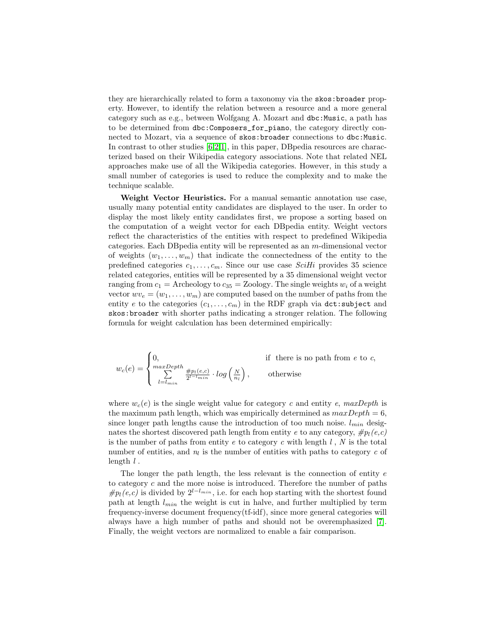they are hierarchically related to form a taxonomy via the skos:broader property. However, to identify the relation between a resource and a more general category such as e.g., between Wolfgang A. Mozart and dbc:Music, a path has to be determined from dbc:Composers\_for\_piano, the category directly connected to Mozart, via a sequence of skos:broader connections to dbc:Music. In contrast to other studies  $[6,2,1]$  $[6,2,1]$  $[6,2,1]$ , in this paper, DB pedia resources are characterized based on their Wikipedia category associations. Note that related NEL approaches make use of all the Wikipedia categories. However, in this study a small number of categories is used to reduce the complexity and to make the technique scalable.

Weight Vector Heuristics. For a manual semantic annotation use case, usually many potential entity candidates are displayed to the user. In order to display the most likely entity candidates first, we propose a sorting based on the computation of a weight vector for each DBpedia entity. Weight vectors reflect the characteristics of the entities with respect to predefined Wikipedia categories. Each DBpedia entity will be represented as an m-dimensional vector of weights  $(w_1, \ldots, w_m)$  that indicate the connectedness of the entity to the predefined categories  $c_1, \ldots, c_m$ . Since our use case SciHi provides 35 science related categories, entities will be represented by a 35 dimensional weight vector ranging from  $c_1 =$  Archeology to  $c_{35} =$  Zoology. The single weights  $w_i$  of a weight vector  $wv_e = (w_1, \ldots, w_m)$  are computed based on the number of paths from the entity e to the categories  $(c_1, \ldots, c_m)$  in the RDF graph via dct:subject and skos:broader with shorter paths indicating a stronger relation. The following formula for weight calculation has been determined empirically:

$$
w_c(e) = \begin{cases} 0, & \text{if there is no path from } e \text{ to } c, \\ \sum_{l=l_{min}}^{\max Depth} \frac{\#p_l(e,c)}{2^{l-l_{min}}} \cdot \log\left(\frac{N}{n_l}\right), & \text{otherwise} \end{cases}
$$

where  $w_c(e)$  is the single weight value for category c and entity e, maxDepth is the maximum path length, which was empirically determined as  $maxDepth = 6$ , since longer path lengths cause the introduction of too much noise.  $l_{min}$  designates the shortest discovered path length from entity e to any category,  $\#p_l(e,c)$ is the number of paths from entity e to category c with length  $l$ , N is the total number of entities, and  $n_l$  is the number of entities with paths to category c of length  $l$ .

The longer the path length, the less relevant is the connection of entity e to category c and the more noise is introduced. Therefore the number of paths  $\#p_l(e,c)$  is divided by  $2^{l-l_{min}}$ , i.e. for each hop starting with the shortest found path at length  $l_{min}$  the weight is cut in halve, and further multiplied by term frequency-inverse document frequency(tf-idf), since more general categories will always have a high number of paths and should not be overemphasized [\[7\]](#page-3-1). Finally, the weight vectors are normalized to enable a fair comparison.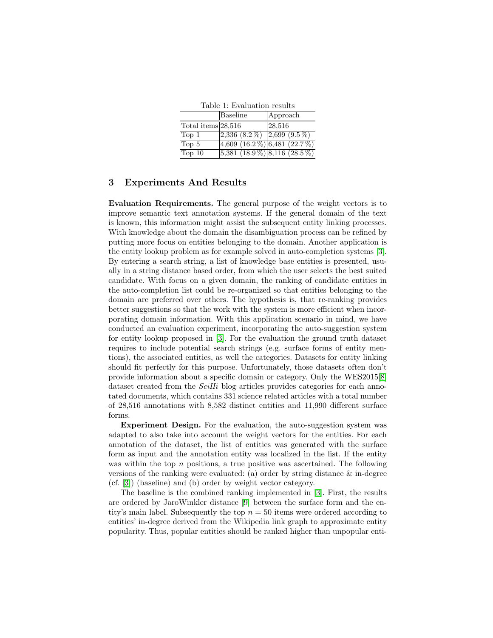<span id="page-2-0"></span>

| Table 1: Evaluation results |                                               |                 |
|-----------------------------|-----------------------------------------------|-----------------|
|                             | Baseline                                      | Approach        |
| Total items $28,516$        |                                               | $\sqrt{28,516}$ |
| Top 1                       | 2,336 $(8.2\%)$ 2,699 $(9.5\%)$               |                 |
| Top 5                       | 4,609 $(16.2\%)$ 6,481 $(22.7\%)$             |                 |
| $\overline{\text{Top }10}$  | $\left 5,381\ (18.9\%)\right 8,116\ (28.5\%)$ |                 |

#### 3 Experiments And Results

Evaluation Requirements. The general purpose of the weight vectors is to improve semantic text annotation systems. If the general domain of the text is known, this information might assist the subsequent entity linking processes. With knowledge about the domain the disambiguation process can be refined by putting more focus on entities belonging to the domain. Another application is the entity lookup problem as for example solved in auto-completion systems [\[3\]](#page-3-6). By entering a search string, a list of knowledge base entities is presented, usually in a string distance based order, from which the user selects the best suited candidate. With focus on a given domain, the ranking of candidate entities in the auto-completion list could be re-organized so that entities belonging to the domain are preferred over others. The hypothesis is, that re-ranking provides better suggestions so that the work with the system is more efficient when incorporating domain information. With this application scenario in mind, we have conducted an evaluation experiment, incorporating the auto-suggestion system for entity lookup proposed in [\[3\]](#page-3-6). For the evaluation the ground truth dataset requires to include potential search strings (e.g. surface forms of entity mentions), the associated entities, as well the categories. Datasets for entity linking should fit perfectly for this purpose. Unfortunately, those datasets often don't provide information about a specific domain or category. Only the WES2015[\[8\]](#page-3-7) dataset created from the  $SciHi$  blog articles provides categories for each annotated documents, which contains 331 science related articles with a total number of 28,516 annotations with 8,582 distinct entities and 11,990 different surface forms.

Experiment Design. For the evaluation, the auto-suggestion system was adapted to also take into account the weight vectors for the entities. For each annotation of the dataset, the list of entities was generated with the surface form as input and the annotation entity was localized in the list. If the entity was within the top  $n$  positions, a true positive was ascertained. The following versions of the ranking were evaluated: (a) order by string distance & in-degree (cf. [\[3\]](#page-3-6)) (baseline) and (b) order by weight vector category.

The baseline is the combined ranking implemented in [\[3\]](#page-3-6). First, the results are ordered by JaroWinkler distance [\[9\]](#page-3-8) between the surface form and the entity's main label. Subsequently the top  $n = 50$  items were ordered according to entities' in-degree derived from the Wikipedia link graph to approximate entity popularity. Thus, popular entities should be ranked higher than unpopular enti